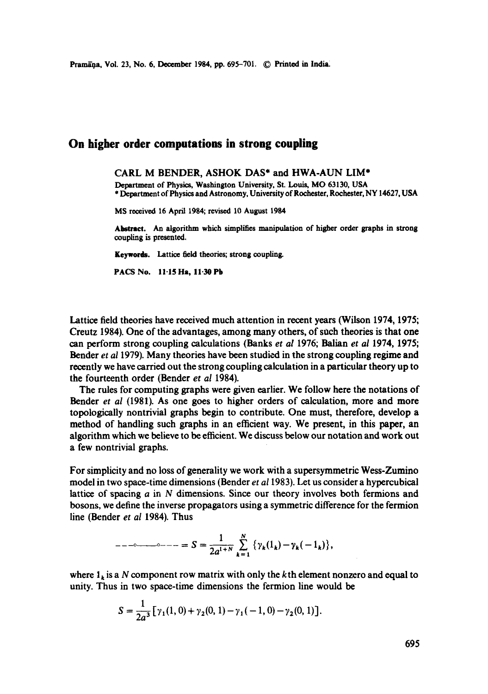## **On higher order computations in strong coupling**

## CARL **M BENDER,** ASHOK DAS\* and HWA-AUN LIM\*

Department of Physics, Washington University, St. Louis, MO 63130, USA \* Department of Physics and Astronomy, University of Rochester, Rochester, NY 14627, USA

MS received 16 April 1984; revised 10 August 1984

Abstract. An algorithm which simplifies manipulation of higher order graphs in strong coupling is presented.

Keywords. Lattice field theories; strong coupling.

PACS No. 11.15 Ha, 11.30 Pb

Lattice field theories have received much attention in recent years (Wilson 1974, 1975; Creutz 1984). One of the advantages, among many others, of stlch theories is that **one**  can perform strong coupling calculations (Banks *et al* 1976; Balian *et al* 1974, 1975; Bender *et a11979).* Many theories have been studied in the strong coupling regime and recently we have carried out the strong coupling calculation in a particular theory up to the fourteenth order (Bender *et al* 1984).

The rules for computing graphs were given earlier. We follow here the notations of Bender *et al* (1981). As one goes to higher orders of calculation, more and more topologically nontrivial graphs begin to contribute. One must, therefore, develop a method of handling such graphs in an efficient way. We present, in this paper, an algorithm which we believe to be efficient. We discuss below our notation and work out a few nontrivial graphs.

For simplicity and no loss of generality we work with a supersymmetric Wess-Zumino model in two space-time dimensions (Bender *et a!* 1983). Let us consider a hypercubical lattice of spacing  $a$  in  $N$  dimensions. Since our theory involves both fermions and bosons, we define the inverse propagators using a symmetric difference for the fermion line (Bender *et al* 1984). Thus

$$
---
$$

where  $1_k$  is a N component row matrix with only the kth element nonzero and equal to unity. Thus in two space-time dimensions the fermion line would be

$$
S = \frac{1}{2a^3} \left[ \gamma_1(1,0) + \gamma_2(0,1) - \gamma_1(-1,0) - \gamma_2(0,1) \right].
$$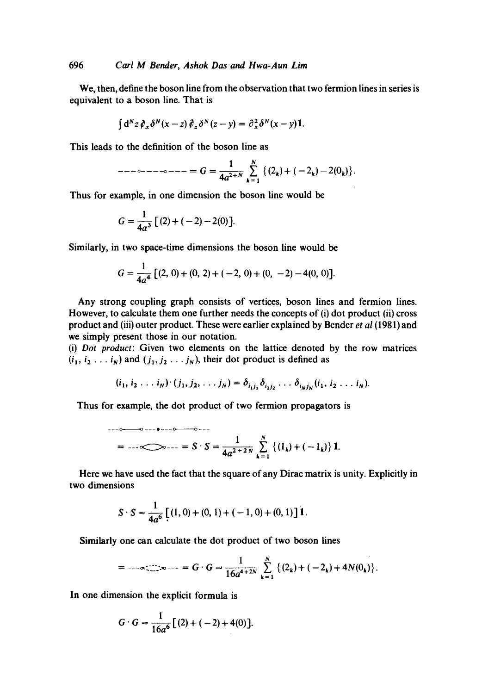We, then, define the boson line from the observation that two fermion lines in series is equivalent to a boson line. That is

$$
\int d^N z \, \partial_x \, \delta^N(x-z) \, \partial_z \, \delta^N(z-y) = \partial_x^2 \, \delta^N(x-y) \, 1.
$$

This leads to the definition of the boson line as

$$
---\circ---\circ---=G=\frac{1}{4a^{2+N}}\sum_{k=1}^{N}\{(2_{k})+(-2_{k})-2(0_{k})\}.
$$

Thus for example, in one dimension the boson line would be

$$
G = \frac{1}{4a^3} \left[ (2) + (-2) - 2(0) \right].
$$

Similarly, in two space-time dimensions the boson line would be

$$
G = \frac{1}{4a^4} [(2, 0) + (0, 2) + (-2, 0) + (0, -2) - 4(0, 0)].
$$

Any strong coupling graph consists of vertices, boson lines and fermion lines. However, to calculate them one further needs the concepts of (i) dot product (ii) cross product and (iii) outer product. These were earlier explained by Bender *et al* (1981) and we simply present those in our notation.

(i) *Dot product:* Given two elements on the lattice denoted by the row matrices  $(i_1, i_2 \ldots i_N)$  and  $(j_1, j_2 \ldots j_N)$ , their dot product is defined as

$$
(i_1, i_2 \ldots i_N) \cdot (j_1, j_2, \ldots j_N) = \delta_{i_1 j_1} \delta_{i_2 j_2} \ldots \delta_{i_N j_N} (i_1, i_2 \ldots i_N).
$$

Thus for example, the dot product of two fermion propagators is

$$
= \cdots \infty \qquad \qquad \text{or} \qquad \qquad \text{or} \qquad \text{or} \qquad \text{or} \qquad \text{or} \qquad \text{or} \qquad \text{or} \qquad \text{or} \qquad \text{or} \qquad \text{or} \qquad \text{or} \qquad \text{or} \qquad \text{or} \qquad \text{or} \qquad \text{or} \qquad \text{or} \qquad \text{or} \qquad \text{or} \qquad \text{or} \qquad \text{or} \qquad \text{or} \qquad \text{or} \qquad \text{or} \qquad \text{or} \qquad \text{or} \qquad \text{or} \qquad \text{or} \qquad \text{or} \qquad \text{or} \qquad \text{or} \qquad \text{or} \qquad \text{or} \qquad \text{or} \qquad \text{or} \qquad \text{or} \qquad \text{or} \qquad \text{or} \qquad \text{or} \qquad \text{or} \qquad \text{or} \qquad \text{or} \qquad \text{or} \qquad \text{or} \qquad \text{or} \qquad \text{or} \qquad \text{or} \qquad \text{or} \qquad \text{or} \qquad \text{or} \qquad \text{or} \qquad \text{or} \qquad \text{or} \qquad \text{or} \qquad \text{or} \qquad \text{or} \qquad \text{or} \qquad \text{or} \qquad \text{or} \qquad \text{or} \qquad \text{or} \qquad \text{or} \qquad \text{or} \qquad \text{or} \qquad \text{or} \qquad \text{or} \qquad \text{or} \qquad \text{or} \qquad \text{or} \qquad \text{or} \qquad \text{or} \qquad \text{or} \qquad \text{or} \qquad \text{or} \qquad \text{or} \qquad \text{or} \qquad \text{or} \qquad \text{or} \qquad \text{or} \qquad \text{or} \qquad \text{or} \qquad \text{or} \qquad \text{or} \qquad \text{or} \qquad \text{or} \qquad \text{or} \qquad \text{or} \qquad \text{or} \qquad \text{or} \qquad \text{or} \qquad \text{or} \qquad \text{or} \qquad \text{or} \qquad \text{or} \q
$$

Here we have used the fact that the square of any Dirac matrix is unity. Explicitly in two dimensions

$$
S \cdot S = \frac{1}{4a^6} \left[ (1, 0) + (0, 1) + (-1, 0) + (0, 1) \right] 1.
$$

Similarly one can calculate the dot product of two boson lines

$$
= \text{Im} \left\{ \max_{k=1}^N \mathbb{E}_{\mathbf{z}} - \mathbb{E}_{\mathbf{z}} \mathbf{G} \right\} = \frac{1}{16a^{4+2N}} \sum_{k=1}^N \left\{ (2_k) + (-2_k) + 4N(0_k) \right\}.
$$

In one dimension the explicit formula is

$$
G \cdot G = \frac{1}{16a^6} \big[ (2) + (-2) + 4(0) \big].
$$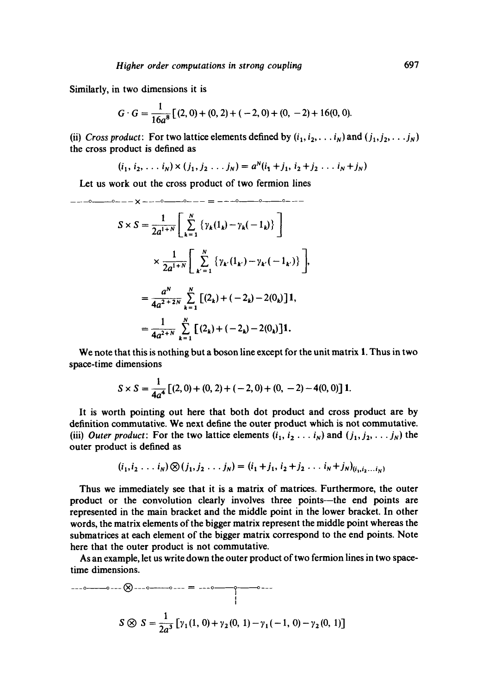Similarly, in two dimensions it is

$$
G \cdot G = \frac{1}{16a^{8}} [(2, 0) + (0, 2) + (-2, 0) + (0, -2) + 16(0, 0).
$$

(ii) *Cross product:* For two lattice elements defined by  $(i_1, i_2, \ldots, i_N)$  and  $(j_1, j_2, \ldots, j_N)$ the cross product is defined as

$$
(i_1, i_2, \ldots i_N) \times (j_1, j_2 \ldots j_N) = a^N(i_1 + j_1, i_2 + j_2 \ldots i_N + j_N)
$$

Let us work out the cross product of two fermion lines

$$
S \times S = \frac{1}{2a^{1+N}} \left[ \sum_{k=1}^{N} \left\{ \gamma_k(1_k) - \gamma_k(-1_k) \right\} \right]
$$
  

$$
\times \frac{1}{2a^{1+N}} \left[ \sum_{k'=1}^{N} \left\{ \gamma_k(1_k) - \gamma_k(-1_k) \right\} \right]
$$
  

$$
= \frac{a^N}{4a^{2+2N}} \sum_{k=1}^{N} \left[ (2_k) + (-2_k) - 2(0_k) \right] 1,
$$
  

$$
= \frac{1}{4a^{2+N}} \sum_{k=1}^{N} \left[ (2_k) + (-2_k) - 2(0_k) \right] 1.
$$

We note that this is nothing but a boson line except for the unit matrix 1. Thus in two space-time dimensions

$$
S \times S = \frac{1}{4a^4} \left[ (2,0) + (0,2) + (-2,0) + (0,-2) - 4(0,0) \right] \mathbf{1}.
$$

It is worth pointing out here *that* both dot product and cross product are by definition commutative. We next define the outer product which is not commutative. (iii) *Outer product*: For the two lattice elements  $(i_1, i_2 \ldots i_N)$  and  $(j_1, j_2, \ldots j_N)$  the outer product is defined as

$$
(i_1, i_2 \ldots i_N) \otimes (j_1, j_2 \ldots j_N) = (i_1 + j_1, i_2 + j_2 \ldots i_N + j_N)_{(i_1, i_2 \ldots i_N)}
$$

Thus we immediately see that it is a matrix of matrices. Furthermore, the outer product or the convolution clearly involves three points---the end points are represented in the main bracket and the middle point in the lower bracket. In other words, the matrix elements of the bigger matrix represent the middle point whereas the submatrices at each element of the bigger matrix correspond to the end points. Note here that the outer product is not commutative.

As an example, let us write down the outer product of two fermion lines in two spacetime dimensions.

$$
S \otimes S = \frac{1}{2a^3} \left[ \gamma_1(1, 0) + \gamma_2(0, 1) - \gamma_1(-1, 0) - \gamma_2(0, 1) \right]
$$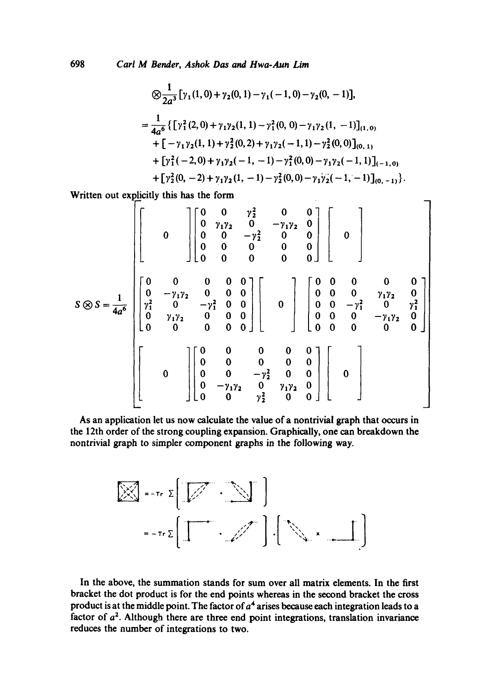698 *Carl M Bender, Ashok Das and Hwa-Aun Lira* 

$$
\bigotimes \frac{1}{2a^3} [\gamma_1(1,0) + \gamma_2(0,1) - \gamma_1(-1,0) - \gamma_2(0,-1)],
$$
\n
$$
= \frac{1}{4a^6} \{ [\gamma_1^2(2,0) + \gamma_1\gamma_2(1,1) - \gamma_1^2(0,0) - \gamma_1\gamma_2(1,-1)]_{(1,0)} + [-\gamma_1\gamma_2(1,1) + \gamma_2^2(0,2) + \gamma_1\gamma_2(-1,1) - \gamma_2^2(0,0)]_{(0,1)} + [\gamma_1^2(-2,0) + \gamma_1\gamma_2(-1,-1) - \gamma_1^2(0,0) - \gamma_1\gamma_2(-1,1)]_{(-1,0)} + [\gamma_2^2(0,-2) + \gamma_1\gamma_2(1,-1) - \gamma_2^2(0,0) - \gamma_1\gamma_2(-1,-1)]_{(0,-1)} \}.
$$

Written out explicitly this has the form

$$
S \otimes S = \frac{1}{4a^6} \begin{bmatrix} 0 & 0 & \gamma_2^2 & 0 & 0 \\ 0 & \gamma_1 \gamma_2 & 0 & -\gamma_1 \gamma_2 & 0 \\ 0 & 0 & -\gamma_2^2 & 0 & 0 \\ 0 & 0 & 0 & 0 & 0 \\ 0 & 0 & 0 & 0 & 0 \end{bmatrix} \begin{bmatrix} 0 & 0 & 0 & 0 \\ 0 & 0 & 0 & 0 \\ 0 & 0 & 0 & 0 \\ 0 & 0 & 0 & 0 \\ 0 & 0 & 0 & 0 \end{bmatrix}
$$
  

$$
S \otimes S = \frac{1}{4a^6} \begin{bmatrix} 0 & 0 & 0 & 0 & 0 \\ \gamma_1^2 & 0 & -\gamma_1^2 & 0 & 0 \\ \gamma_1^2 & 0 & -\gamma_1^2 & 0 & 0 \\ 0 & \gamma_1 \gamma_2 & 0 & 0 & 0 \\ 0 & 0 & 0 & 0 & 0 \end{bmatrix} \begin{bmatrix} 0 & 0 & 0 & 0 & 0 \\ 0 & 0 & -\gamma_1^2 & 0 \\ 0 & 0 & 0 & 0 \\ 0 & 0 & 0 & 0 \end{bmatrix}
$$
  

$$
\begin{bmatrix} 0 & 0 & 0 & 0 & 0 \\ 0 & 0 & -\gamma_2^2 & 0 & 0 \\ 0 & 0 & -\gamma_1^2 & 0 & 0 \\ 0 & -\gamma_1 \gamma_2 & 0 & \gamma_1 \gamma_2 & 0 \\ 0 & 0 & \gamma_2^2 & 0 & 0 \end{bmatrix} \begin{bmatrix} 0 \\ 0 \\ 0 \\ 0 \end{bmatrix}
$$

As an application let us now calculate the value of a nontrivial graph that occurs in the 12th order of the strong coupling expansion. Graphically, one can breakdown the nontrivial graph to simpler component graphs in the following way.

$$
\mathbb{E}\left[\mathbb{E}\left[\mathbb{E}\left[\mathbb{E}\left[\mathbb{E}\right]\right]\right]\right]
$$

$$
= -\pi r \sum \left[\mathbb{E}\left[\mathbb{E}\left[\mathbb{E}\left[\mathbb{E}\left[\mathbb{E}\right]\right]\right]\right] \mathbb{E}\left[\mathbb{E}\left[\mathbb{E}\left[\mathbb{E}\left[\mathbb{E}\left[\mathbb{E}\right]\right]\right]\right]\right]
$$

In the above, the summation stands for sum over all matrix elements. In the first bracket the dot product is for the end points whereas in the second bracket the cross product is at the middle point. The factor of  $a<sup>4</sup>$  arises because each integration leads to a factor of  $a<sup>2</sup>$ . Although there are three end point integrations, translation invariance reduces the number of integrations to two.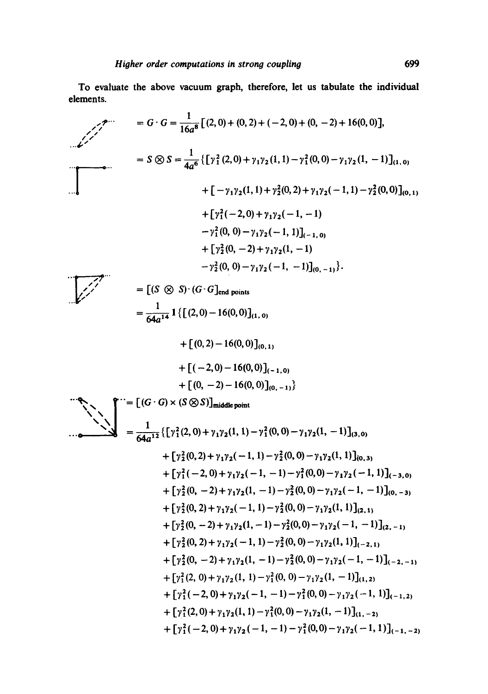**To evaluate the above vacuum graph, therefore, let us tabulate the individual elements.** 

$$
G \cdot G = \frac{1}{16a^8} [(2,0) + (0,2) + (-2,0) + (0,-2) + 16(0,0)],
$$
  
\n
$$
= S \otimes S = \frac{1}{4a^6} \{ [y_1^2 (2,0) + y_1 y_2 (1,1) - y_1^2 (0,0) - y_1 y_2 (1,-1)]_{(1,0)} + [-y_1 y_2 (1,1) + y_2^2 (0,2) + y_1 y_2 (-1,1) - y_2^2 (0,0)]_{(0,1)} + [y_1^2 (-2,0) + y_1 y_2 (-1,-1)] - y_1^2 (0,0) - y_1 y_2 (-1,1)]_{(-1,0)} + [y_2^2 (0,-2) + y_1 y_2 (1,1)]
$$
  
\n
$$
= [ (S \otimes S) \cdot (G \cdot G)_{end points}
$$
  
\n
$$
= \frac{1}{64a^{14}} 1 \{ [(2,0) - 16(0,0)]_{(1,0)}}
$$
  
\n
$$
+ [(0,2) - 16(0,0)]_{(0,1,0)}
$$
  
\n
$$
+ [(0,-2) - 16(0,0)]_{(0,-1,0)}
$$
  
\n
$$
+ [(0,-2) - 16(0,0)]_{(0,-1,0)}
$$
  
\n
$$
+ [y_1^2 (2,0) + y_1 y_2 (1,1) - y_1^2 (0,0) - y_1 y_2 (1,-1)]_{(0,0)}
$$
  
\n
$$
+ [y_2^2 (0,2) + y_1 y_2 (-1,1) - y_2^2 (0,0) - y_1 y_2 (1,-1)]_{(0,0)}
$$
  
\n
$$
+ [y_2^2 (0,2) + y_1 y_2 (-1,1) - y_2^2 (0,0) - y_1 y_2 (-1,1)]_{(0,0)}
$$
  
\n
$$
+ [y_2^2 (0,2) + y_1 y_2 (-1,1) - y_2^2 (0,0) - y_1 y_2 (-1,1)]_{(0,-2)}
$$
  
\n
$$
+ [y_2^2 (0,2) + y_1 y_2 (-1,1) - y_2^2 (0,0) - y_1 y_2 (-1,-1)]
$$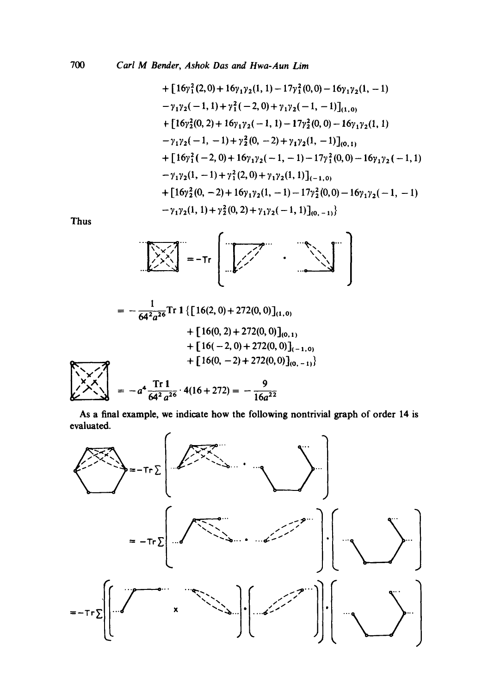+ 
$$
[16\gamma_1^2(2,0)+16\gamma_1\gamma_2(1, 1)-17\gamma_1^2(0, 0)-16\gamma_1\gamma_2(1, -1)
$$
  
\n $-\gamma_1\gamma_2(-1, 1)+\gamma_1^2(-2, 0)+\gamma_1\gamma_2(-1, -1)]_{(1, 0)}$   
\n+  $[16\gamma_2^2(0, 2)+16\gamma_1\gamma_2(-1, 1)-17\gamma_2^2(0, 0)-16\gamma_1\gamma_2(1, 1)$   
\n $-\gamma_1\gamma_2(-1, -1)+\gamma_2^2(0, -2)+\gamma_1\gamma_2(1, -1)]_{(0, 1)}$   
\n+  $[16\gamma_1^2(-2, 0)+16\gamma_1\gamma_2(-1, -1)-17\gamma_1^2(0, 0)-16\gamma_1\gamma_2(-1, 1)$   
\n $-\gamma_1\gamma_2(1, -1)+\gamma_1^2(2, 0)+\gamma_1\gamma_2(1, 1)]_{(-1, 0)}$   
\n+  $[16\gamma_2^2(0, -2)+16\gamma_1\gamma_2(1, -1)-17\gamma_2^2(0, 0)-16\gamma_1\gamma_2(-1, -1)$   
\n $-\gamma_1\gamma_2(1, 1)+\gamma_2^2(0, 2)+\gamma_1\gamma_2(-1, 1)]_{(0, -1)}$ 

Thus



$$
= -\frac{1}{64^{2}a^{26}} \text{Tr} \mathbf{1} \{ [16(2, 0) + 272(0, 0)]_{(1, 0)} + [16(0, 2) + 272(0, 0)]_{(0, 1)} + [16(-2, 0) + 272(0, 0)]_{(-1, 0)} + [16(0, -2) + 272(0, 0)]_{(0, -1)} \}
$$
  
\n
$$
\begin{array}{rcl}\n\leftarrow & \searrow & \nearrow \\
\downarrow & \searrow & \nearrow & \\
\downarrow & \searrow & \searrow & \\
\downarrow & \searrow & \searrow & \\
\downarrow & \searrow & \searrow & \\
\downarrow & \searrow & \searrow & \\
\downarrow & \searrow & \searrow & \\
\downarrow & \searrow & \searrow & \\
\downarrow & \searrow & \searrow & \\
\downarrow & \searrow & \searrow & \\
\downarrow & \searrow & \searrow & \\
\downarrow & \searrow & \searrow & \\
\downarrow & \searrow & \searrow & \searrow & \\
\downarrow & \searrow & \searrow & \searrow & \\
\downarrow & \searrow & \searrow & \searrow & \\
\downarrow & \searrow & \searrow & \searrow & \\
\downarrow & \searrow & \searrow & \searrow & \\
\downarrow & \searrow & \searrow & \searrow & \\
\downarrow & \searrow & \searrow & \searrow & \\
\downarrow & \searrow & \searrow & \searrow & \\
\downarrow & \searrow & \searrow & \searrow & \\
\downarrow & \searrow & \searrow & \searrow & \searrow & \\
\downarrow & \searrow & \searrow & \searrow & \searrow & \\
\downarrow & \searrow & \searrow & \searrow & \searrow & \\
\downarrow & \searrow & \searrow & \searrow & \searrow & \\
\downarrow & \searrow & \searrow & \searrow & \searrow & \\
\downarrow & \searrow & \searrow & \searrow & \searrow & \\
\downarrow & \searrow & \searrow & \searrow & \searrow & \\
\downarrow & \searrow & \searrow & \searrow & \searrow & \\
\downarrow & \searrow & \searrow & \searrow & \searrow & \\
\downarrow & \searrow & \searrow & \searrow & \searrow & \\
\downarrow & \searrow & \searrow & \searrow & \searrow & \\
\downarrow & \searrow & \searrow & \searrow & \searrow & \\
\downarrow & \searrow & \searrow & \searrow & \searrow & \\
\downarrow & \searrow & \searrow & \searrow &
$$

As a final example, we indicate how the following nontrivial graph of order 14 is evaluated.